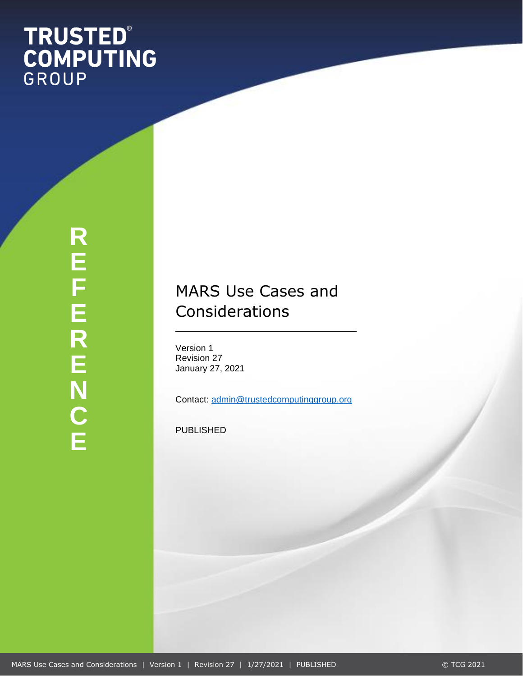# **TRUSTED®<br>COMPUTING**<br>GROUP

**R E F E R E N C E**

# MARS Use Cases and Considerations

Version 1 Revision 27 January 27, 2021

Contact: [admin@trustedcomputinggroup.org](mailto:admin@trustedcomputinggroup.org)

PUBLISHED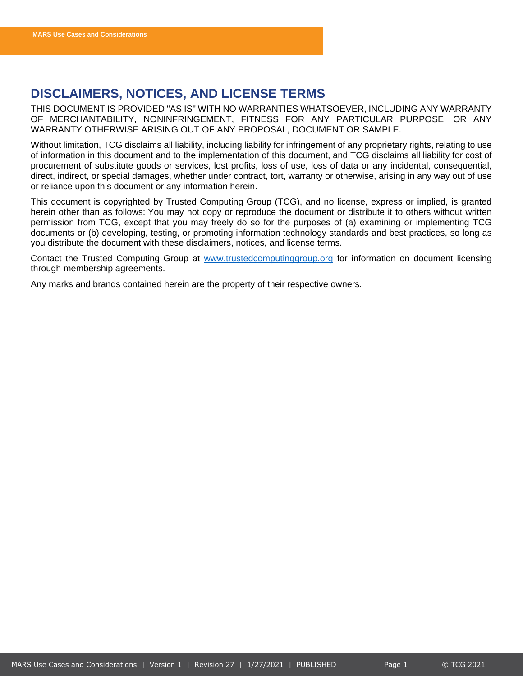# <span id="page-1-0"></span>**DISCLAIMERS, NOTICES, AND LICENSE TERMS**

THIS DOCUMENT IS PROVIDED "AS IS" WITH NO WARRANTIES WHATSOEVER, INCLUDING ANY WARRANTY OF MERCHANTABILITY, NONINFRINGEMENT, FITNESS FOR ANY PARTICULAR PURPOSE, OR ANY WARRANTY OTHERWISE ARISING OUT OF ANY PROPOSAL, DOCUMENT OR SAMPLE.

Without limitation, TCG disclaims all liability, including liability for infringement of any proprietary rights, relating to use of information in this document and to the implementation of this document, and TCG disclaims all liability for cost of procurement of substitute goods or services, lost profits, loss of use, loss of data or any incidental, consequential, direct, indirect, or special damages, whether under contract, tort, warranty or otherwise, arising in any way out of use or reliance upon this document or any information herein.

This document is copyrighted by Trusted Computing Group (TCG), and no license, express or implied, is granted herein other than as follows: You may not copy or reproduce the document or distribute it to others without written permission from TCG, except that you may freely do so for the purposes of (a) examining or implementing TCG documents or (b) developing, testing, or promoting information technology standards and best practices, so long as you distribute the document with these disclaimers, notices, and license terms.

Contact the Trusted Computing Group at [www.trustedcomputinggroup.org](http://www.trustedcomputinggroup.org/) for information on document licensing through membership agreements.

Any marks and brands contained herein are the property of their respective owners.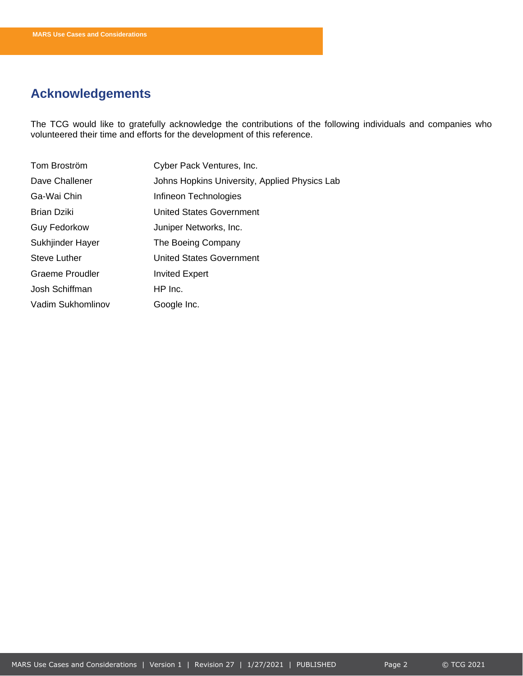# <span id="page-2-0"></span>**Acknowledgements**

The TCG would like to gratefully acknowledge the contributions of the following individuals and companies who volunteered their time and efforts for the development of this reference.

| Tom Broström           | Cyber Pack Ventures, Inc.                     |
|------------------------|-----------------------------------------------|
| Dave Challener         | Johns Hopkins University, Applied Physics Lab |
| Ga-Wai Chin            | Infineon Technologies                         |
| <b>Brian Dziki</b>     | <b>United States Government</b>               |
| <b>Guy Fedorkow</b>    | Juniper Networks, Inc.                        |
| Sukhjinder Hayer       | The Boeing Company                            |
| <b>Steve Luther</b>    | <b>United States Government</b>               |
| <b>Graeme Proudler</b> | <b>Invited Expert</b>                         |
| Josh Schiffman         | HP Inc.                                       |
| Vadim Sukhomlinov      | Google Inc.                                   |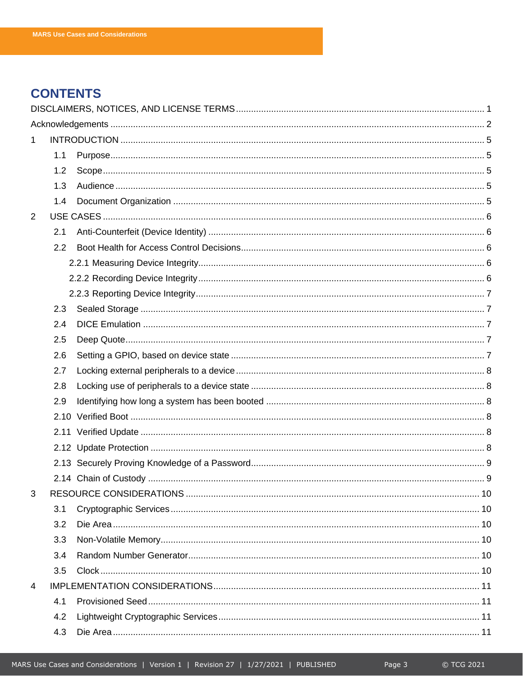# **CONTENTS**

| 1              |               |  |
|----------------|---------------|--|
|                | 1.1           |  |
|                | 1.2           |  |
|                | 1.3           |  |
|                | 1.4           |  |
| $\overline{2}$ |               |  |
|                | 2.1           |  |
|                | $2.2^{\circ}$ |  |
|                |               |  |
|                |               |  |
|                |               |  |
|                | 2.3           |  |
|                | 2.4           |  |
|                | 2.5           |  |
|                | 2.6           |  |
|                | 2.7           |  |
|                | 2.8           |  |
|                | 2.9           |  |
|                |               |  |
|                |               |  |
|                |               |  |
|                |               |  |
|                |               |  |
| 3              |               |  |
|                | 3.1           |  |
|                | 3.2           |  |
|                | 3.3           |  |
|                | 3.4           |  |
|                | 3.5           |  |
| 4              |               |  |
|                | 4.1           |  |
|                | 4.2           |  |
|                | 4.3           |  |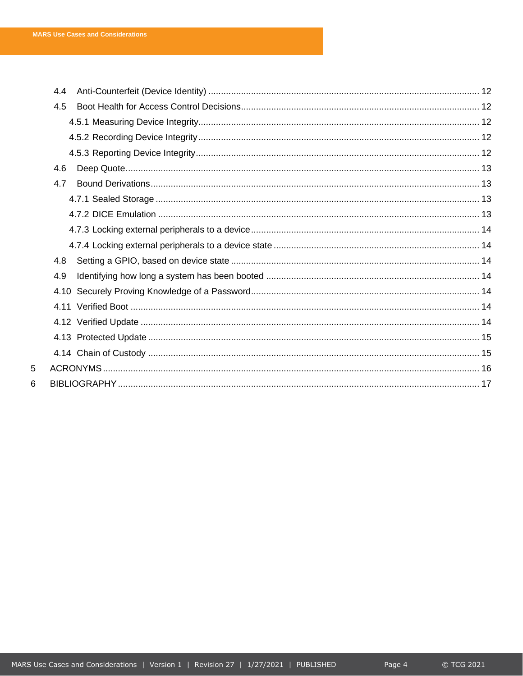$\overline{5}$  $6\phantom{a}$ 

| 4.4 |  |  |  |
|-----|--|--|--|
| 4.5 |  |  |  |
|     |  |  |  |
|     |  |  |  |
|     |  |  |  |
| 4.6 |  |  |  |
| 4.7 |  |  |  |
|     |  |  |  |
|     |  |  |  |
|     |  |  |  |
|     |  |  |  |
| 4.8 |  |  |  |
| 4.9 |  |  |  |
|     |  |  |  |
|     |  |  |  |
|     |  |  |  |
|     |  |  |  |
|     |  |  |  |
|     |  |  |  |
|     |  |  |  |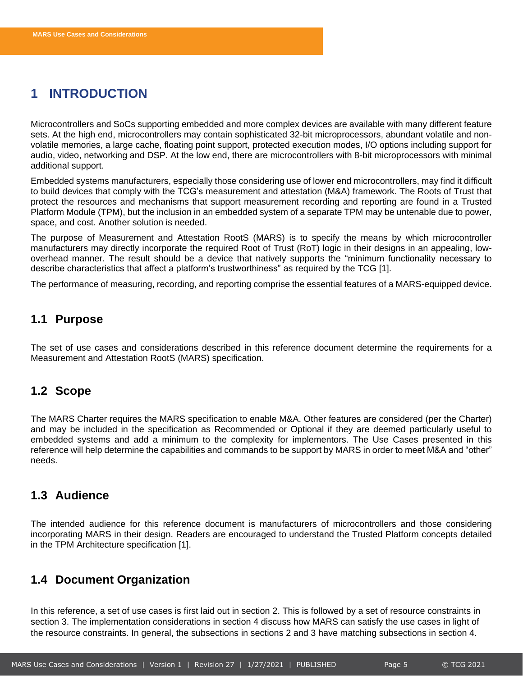# <span id="page-5-0"></span>**1 INTRODUCTION**

Microcontrollers and SoCs supporting embedded and more complex devices are available with many different feature sets. At the high end, microcontrollers may contain sophisticated 32-bit microprocessors, abundant volatile and nonvolatile memories, a large cache, floating point support, protected execution modes, I/O options including support for audio, video, networking and DSP. At the low end, there are microcontrollers with 8-bit microprocessors with minimal additional support.

Embedded systems manufacturers, especially those considering use of lower end microcontrollers, may find it difficult to build devices that comply with the TCG's measurement and attestation (M&A) framework. The Roots of Trust that protect the resources and mechanisms that support measurement recording and reporting are found in a Trusted Platform Module (TPM), but the inclusion in an embedded system of a separate TPM may be untenable due to power, space, and cost. Another solution is needed.

The purpose of Measurement and Attestation RootS (MARS) is to specify the means by which microcontroller manufacturers may directly incorporate the required Root of Trust (RoT) logic in their designs in an appealing, lowoverhead manner. The result should be a device that natively supports the "minimum functionality necessary to describe characteristics that affect a platform's trustworthiness" as required by the TCG [1].

The performance of measuring, recording, and reporting comprise the essential features of a MARS-equipped device.

### <span id="page-5-1"></span>**1.1 Purpose**

The set of use cases and considerations described in this reference document determine the requirements for a Measurement and Attestation RootS (MARS) specification.

### <span id="page-5-2"></span>**1.2 Scope**

The MARS Charter requires the MARS specification to enable M&A. Other features are considered (per the Charter) and may be included in the specification as Recommended or Optional if they are deemed particularly useful to embedded systems and add a minimum to the complexity for implementors. The Use Cases presented in this reference will help determine the capabilities and commands to be support by MARS in order to meet M&A and "other" needs.

### <span id="page-5-3"></span>**1.3 Audience**

The intended audience for this reference document is manufacturers of microcontrollers and those considering incorporating MARS in their design. Readers are encouraged to understand the Trusted Platform concepts detailed in the TPM Architecture specification [1].

### <span id="page-5-4"></span>**1.4 Document Organization**

In this reference, a set of use cases is first laid out in section [2.](#page-6-0) This is followed by a set of resource constraints in section [3.](#page-10-0) The implementation considerations in section [4](#page-11-0) discuss how MARS can satisfy the use cases in light of the resource constraints. In general, the subsections in sections 2 and 3 have matching subsections in section 4.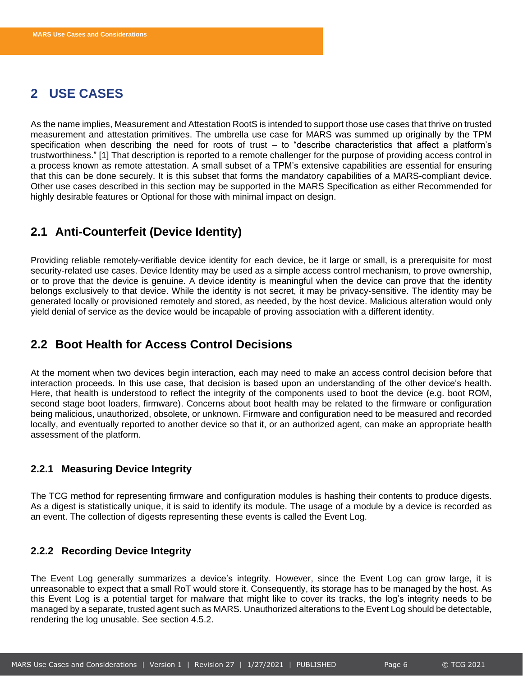# <span id="page-6-0"></span>**2 USE CASES**

As the name implies, Measurement and Attestation RootS is intended to support those use cases that thrive on trusted measurement and attestation primitives. The umbrella use case for MARS was summed up originally by the TPM specification when describing the need for roots of trust  $-$  to "describe characteristics that affect a platform's trustworthiness." [1] That description is reported to a remote challenger for the purpose of providing access control in a process known as remote attestation. A small subset of a TPM's extensive capabilities are essential for ensuring that this can be done securely. It is this subset that forms the mandatory capabilities of a MARS-compliant device. Other use cases described in this section may be supported in the MARS Specification as either Recommended for highly desirable features or Optional for those with minimal impact on design.

### <span id="page-6-1"></span>**2.1 Anti-Counterfeit (Device Identity)**

Providing reliable remotely-verifiable device identity for each device, be it large or small, is a prerequisite for most security-related use cases. Device Identity may be used as a simple access control mechanism, to prove ownership, or to prove that the device is genuine. A device identity is meaningful when the device can prove that the identity belongs exclusively to that device. While the identity is not secret, it may be privacy-sensitive. The identity may be generated locally or provisioned remotely and stored, as needed, by the host device. Malicious alteration would only yield denial of service as the device would be incapable of proving association with a different identity.

# <span id="page-6-2"></span>**2.2 Boot Health for Access Control Decisions**

At the moment when two devices begin interaction, each may need to make an access control decision before that interaction proceeds. In this use case, that decision is based upon an understanding of the other device's health. Here, that health is understood to reflect the integrity of the components used to boot the device (e.g. boot ROM, second stage boot loaders, firmware). Concerns about boot health may be related to the firmware or configuration being malicious, unauthorized, obsolete, or unknown. Firmware and configuration need to be measured and recorded locally, and eventually reported to another device so that it, or an authorized agent, can make an appropriate health assessment of the platform.

### <span id="page-6-3"></span>**2.2.1 Measuring Device Integrity**

The TCG method for representing firmware and configuration modules is hashing their contents to produce digests. As a digest is statistically unique, it is said to identify its module. The usage of a module by a device is recorded as an event. The collection of digests representing these events is called the Event Log.

### <span id="page-6-4"></span>**2.2.2 Recording Device Integrity**

The Event Log generally summarizes a device's integrity. However, since the Event Log can grow large, it is unreasonable to expect that a small RoT would store it. Consequently, its storage has to be managed by the host. As this Event Log is a potential target for malware that might like to cover its tracks, the log's integrity needs to be managed by a separate, trusted agent such as MARS. Unauthorized alterations to the Event Log should be detectable, rendering the log unusable. See section [4.5.2.](#page-12-3)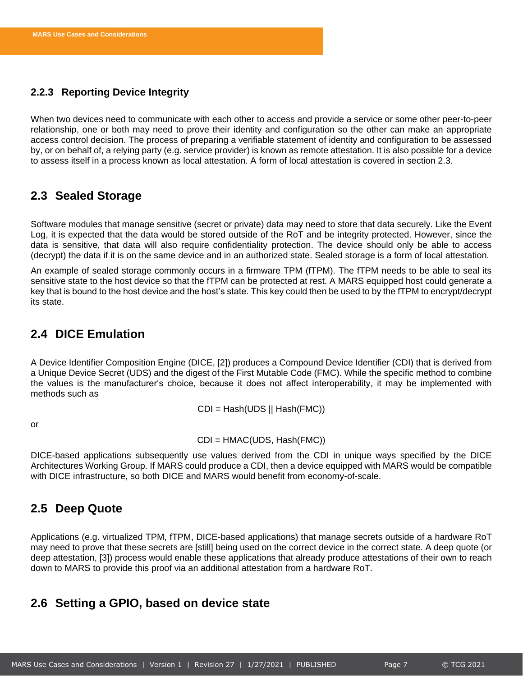### <span id="page-7-0"></span>**2.2.3 Reporting Device Integrity**

When two devices need to communicate with each other to access and provide a service or some other peer-to-peer relationship, one or both may need to prove their identity and configuration so the other can make an appropriate access control decision. The process of preparing a verifiable statement of identity and configuration to be assessed by, or on behalf of, a relying party (e.g. service provider) is known as remote attestation. It is also possible for a device to assess itself in a process known as local attestation. A form of local attestation is covered in section [2.3.](#page-7-1)

### <span id="page-7-1"></span>**2.3 Sealed Storage**

Software modules that manage sensitive (secret or private) data may need to store that data securely. Like the Event Log, it is expected that the data would be stored outside of the RoT and be integrity protected. However, since the data is sensitive, that data will also require confidentiality protection. The device should only be able to access (decrypt) the data if it is on the same device and in an authorized state. Sealed storage is a form of local attestation.

An example of sealed storage commonly occurs in a firmware TPM (fTPM). The fTPM needs to be able to seal its sensitive state to the host device so that the fTPM can be protected at rest. A MARS equipped host could generate a key that is bound to the host device and the host's state. This key could then be used to by the fTPM to encrypt/decrypt its state.

### <span id="page-7-2"></span>**2.4 DICE Emulation**

A Device Identifier Composition Engine (DICE, [2]) produces a Compound Device Identifier (CDI) that is derived from a Unique Device Secret (UDS) and the digest of the First Mutable Code (FMC). While the specific method to combine the values is the manufacturer's choice, because it does not affect interoperability, it may be implemented with methods such as

$$
CDI = Hash(UDS || Hash(FMC))
$$

or

CDI = HMAC(UDS, Hash(FMC))

DICE-based applications subsequently use values derived from the CDI in unique ways specified by the DICE Architectures Working Group. If MARS could produce a CDI, then a device equipped with MARS would be compatible with DICE infrastructure, so both DICE and MARS would benefit from economy-of-scale.

### <span id="page-7-3"></span>**2.5 Deep Quote**

Applications (e.g. virtualized TPM, fTPM, DICE-based applications) that manage secrets outside of a hardware RoT may need to prove that these secrets are [still] being used on the correct device in the correct state. A deep quote (or deep attestation, [3]) process would enable these applications that already produce attestations of their own to reach down to MARS to provide this proof via an additional attestation from a hardware RoT.

### <span id="page-7-4"></span>**2.6 Setting a GPIO, based on device state**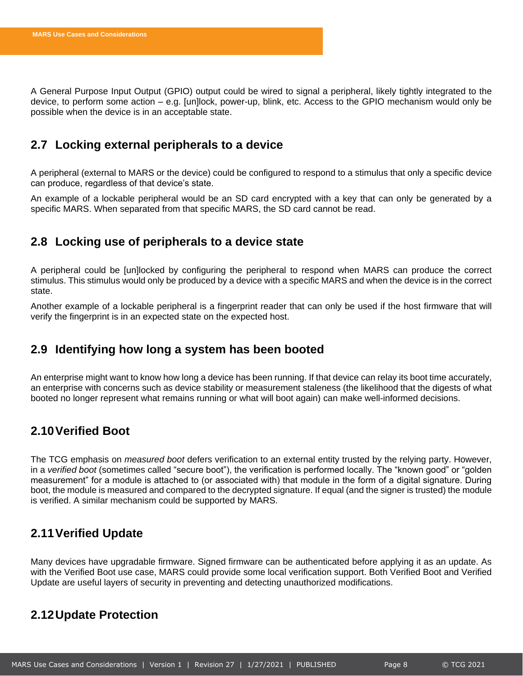A General Purpose Input Output (GPIO) output could be wired to signal a peripheral, likely tightly integrated to the device, to perform some action – e.g. [un]lock, power-up, blink, etc. Access to the GPIO mechanism would only be possible when the device is in an acceptable state.

### <span id="page-8-0"></span>**2.7 Locking external peripherals to a device**

A peripheral (external to MARS or the device) could be configured to respond to a stimulus that only a specific device can produce, regardless of that device's state.

An example of a lockable peripheral would be an SD card encrypted with a key that can only be generated by a specific MARS. When separated from that specific MARS, the SD card cannot be read.

### <span id="page-8-1"></span>**2.8 Locking use of peripherals to a device state**

A peripheral could be [un]locked by configuring the peripheral to respond when MARS can produce the correct stimulus. This stimulus would only be produced by a device with a specific MARS and when the device is in the correct state.

Another example of a lockable peripheral is a fingerprint reader that can only be used if the host firmware that will verify the fingerprint is in an expected state on the expected host.

### <span id="page-8-2"></span>**2.9 Identifying how long a system has been booted**

An enterprise might want to know how long a device has been running. If that device can relay its boot time accurately, an enterprise with concerns such as device stability or measurement staleness (the likelihood that the digests of what booted no longer represent what remains running or what will boot again) can make well-informed decisions.

# <span id="page-8-3"></span>**2.10Verified Boot**

The TCG emphasis on *measured boot* defers verification to an external entity trusted by the relying party. However, in a *verified boot* (sometimes called "secure boot"), the verification is performed locally. The "known good" or "golden measurement" for a module is attached to (or associated with) that module in the form of a digital signature. During boot, the module is measured and compared to the decrypted signature. If equal (and the signer is trusted) the module is verified. A similar mechanism could be supported by MARS.

# <span id="page-8-4"></span>**2.11Verified Update**

Many devices have upgradable firmware. Signed firmware can be authenticated before applying it as an update. As with the Verified Boot use case, MARS could provide some local verification support. Both Verified Boot and Verified Update are useful layers of security in preventing and detecting unauthorized modifications.

### <span id="page-8-5"></span>**2.12Update Protection**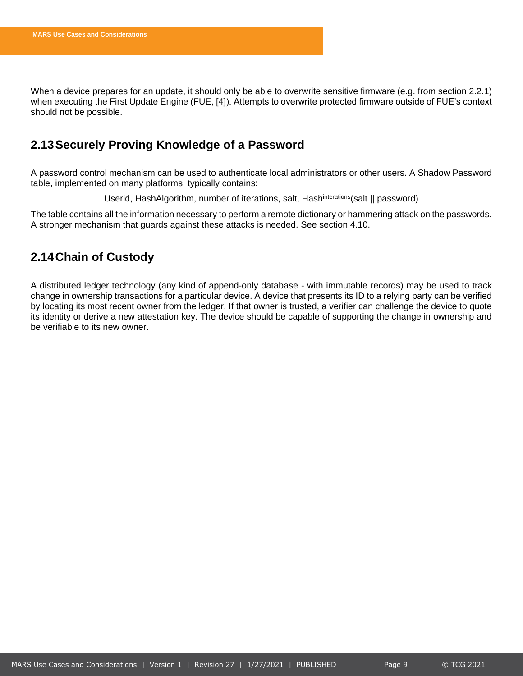When a device prepares for an update, it should only be able to overwrite sensitive firmware (e.g. from section [2.2.1\)](#page-6-3) when executing the First Update Engine (FUE, [4]). Attempts to overwrite protected firmware outside of FUE's context should not be possible.

### <span id="page-9-0"></span>**2.13Securely Proving Knowledge of a Password**

A password control mechanism can be used to authenticate local administrators or other users. A Shadow Password table, implemented on many platforms, typically contains:

Userid, HashAlgorithm, number of iterations, salt, Hash<sup>interations</sup>(salt || password)

The table contains all the information necessary to perform a remote dictionary or hammering attack on the passwords. A stronger mechanism that guards against these attacks is needed. See section [4.10.](#page-14-4)

### <span id="page-9-1"></span>**2.14Chain of Custody**

A distributed ledger technology (any kind of append-only database - with immutable records) may be used to track change in ownership transactions for a particular device. A device that presents its ID to a relying party can be verified by locating its most recent owner from the ledger. If that owner is trusted, a verifier can challenge the device to quote its identity or derive a new attestation key. The device should be capable of supporting the change in ownership and be verifiable to its new owner.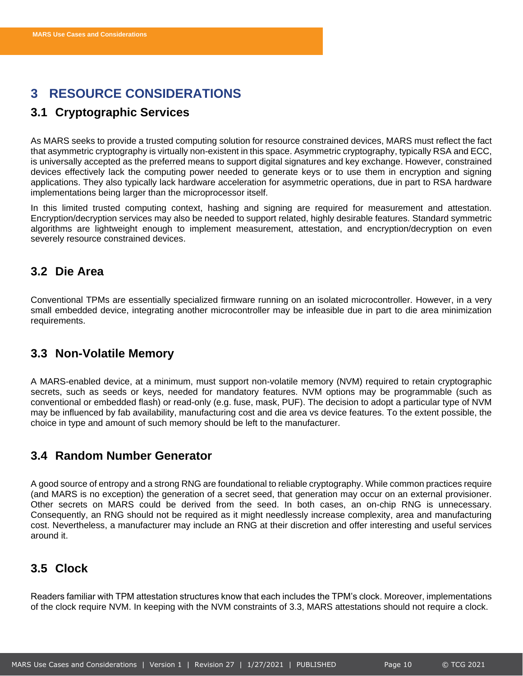# <span id="page-10-0"></span>**3 RESOURCE CONSIDERATIONS**

# <span id="page-10-1"></span>**3.1 Cryptographic Services**

As MARS seeks to provide a trusted computing solution for resource constrained devices, MARS must reflect the fact that asymmetric cryptography is virtually non-existent in this space. Asymmetric cryptography, typically RSA and ECC, is universally accepted as the preferred means to support digital signatures and key exchange. However, constrained devices effectively lack the computing power needed to generate keys or to use them in encryption and signing applications. They also typically lack hardware acceleration for asymmetric operations, due in part to RSA hardware implementations being larger than the microprocessor itself.

In this limited trusted computing context, hashing and signing are required for measurement and attestation. Encryption/decryption services may also be needed to support related, highly desirable features. Standard symmetric algorithms are lightweight enough to implement measurement, attestation, and encryption/decryption on even severely resource constrained devices.

### <span id="page-10-2"></span>**3.2 Die Area**

Conventional TPMs are essentially specialized firmware running on an isolated microcontroller. However, in a very small embedded device, integrating another microcontroller may be infeasible due in part to die area minimization requirements.

# <span id="page-10-3"></span>**3.3 Non-Volatile Memory**

A MARS-enabled device, at a minimum, must support non-volatile memory (NVM) required to retain cryptographic secrets, such as seeds or keys, needed for mandatory features. NVM options may be programmable (such as conventional or embedded flash) or read-only (e.g. fuse, mask, PUF). The decision to adopt a particular type of NVM may be influenced by fab availability, manufacturing cost and die area vs device features. To the extent possible, the choice in type and amount of such memory should be left to the manufacturer.

### <span id="page-10-4"></span>**3.4 Random Number Generator**

A good source of entropy and a strong RNG are foundational to reliable cryptography. While common practices require (and MARS is no exception) the generation of a secret seed, that generation may occur on an external provisioner. Other secrets on MARS could be derived from the seed. In both cases, an on-chip RNG is unnecessary. Consequently, an RNG should not be required as it might needlessly increase complexity, area and manufacturing cost. Nevertheless, a manufacturer may include an RNG at their discretion and offer interesting and useful services around it.

### <span id="page-10-5"></span>**3.5 Clock**

Readers familiar with TPM attestation structures know that each includes the TPM's clock. Moreover, implementations of the clock require NVM. In keeping with the NVM constraints of [3.3,](#page-10-3) MARS attestations should not require a clock.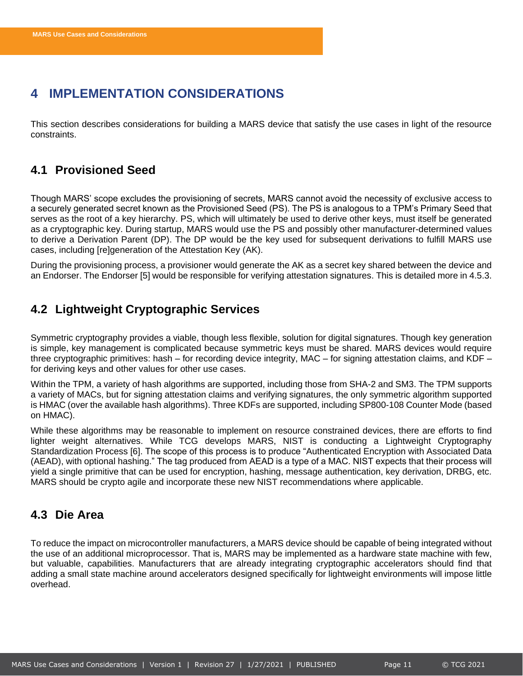# <span id="page-11-0"></span>**4 IMPLEMENTATION CONSIDERATIONS**

This section describes considerations for building a MARS device that satisfy the use cases in light of the resource constraints.

### <span id="page-11-1"></span>**4.1 Provisioned Seed**

Though MARS' scope excludes the provisioning of secrets, MARS cannot avoid the necessity of exclusive access to a securely generated secret known as the Provisioned Seed (PS). The PS is analogous to a TPM's Primary Seed that serves as the root of a key hierarchy. PS, which will ultimately be used to derive other keys, must itself be generated as a cryptographic key. During startup, MARS would use the PS and possibly other manufacturer-determined values to derive a Derivation Parent (DP). The DP would be the key used for subsequent derivations to fulfill MARS use cases, including [re]generation of the Attestation Key (AK).

During the provisioning process, a provisioner would generate the AK as a secret key shared between the device and an Endorser. The Endorser [5] would be responsible for verifying attestation signatures. This is detailed more i[n 4.5.3.](#page-12-4)

# <span id="page-11-2"></span>**4.2 Lightweight Cryptographic Services**

Symmetric cryptography provides a viable, though less flexible, solution for digital signatures. Though key generation is simple, key management is complicated because symmetric keys must be shared. MARS devices would require three cryptographic primitives: hash – for recording device integrity, MAC – for signing attestation claims, and KDF – for deriving keys and other values for other use cases.

Within the TPM, a variety of hash algorithms are supported, including those from SHA-2 and SM3. The TPM supports a variety of MACs, but for signing attestation claims and verifying signatures, the only symmetric algorithm supported is HMAC (over the available hash algorithms). Three KDFs are supported, including SP800-108 Counter Mode (based on HMAC).

While these algorithms may be reasonable to implement on resource constrained devices, there are efforts to find lighter weight alternatives. While TCG develops MARS, NIST is conducting a Lightweight Cryptography Standardization Process [6]. The scope of this process is to produce "Authenticated Encryption with Associated Data (AEAD), with optional hashing." The tag produced from AEAD is a type of a MAC. NIST expects that their process will yield a single primitive that can be used for encryption, hashing, message authentication, key derivation, DRBG, etc. MARS should be crypto agile and incorporate these new NIST recommendations where applicable.

### <span id="page-11-3"></span>**4.3 Die Area**

To reduce the impact on microcontroller manufacturers, a MARS device should be capable of being integrated without the use of an additional microprocessor. That is, MARS may be implemented as a hardware state machine with few, but valuable, capabilities. Manufacturers that are already integrating cryptographic accelerators should find that adding a small state machine around accelerators designed specifically for lightweight environments will impose little overhead.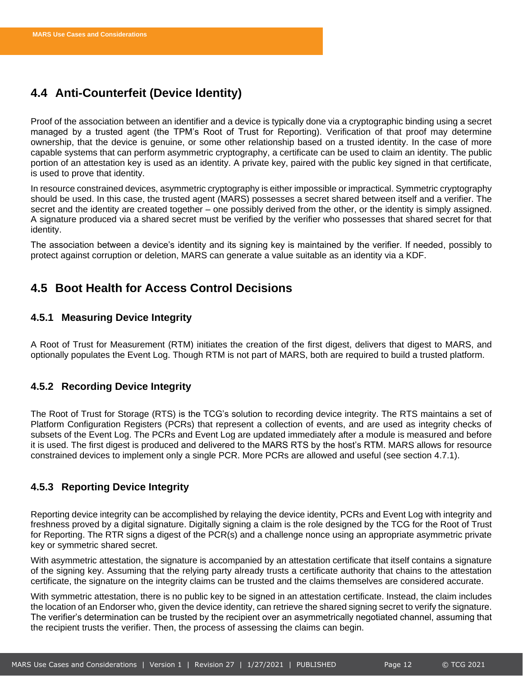# <span id="page-12-0"></span>**4.4 Anti-Counterfeit (Device Identity)**

Proof of the association between an identifier and a device is typically done via a cryptographic binding using a secret managed by a trusted agent (the TPM's Root of Trust for Reporting). Verification of that proof may determine ownership, that the device is genuine, or some other relationship based on a trusted identity. In the case of more capable systems that can perform asymmetric cryptography, a certificate can be used to claim an identity. The public portion of an attestation key is used as an identity. A private key, paired with the public key signed in that certificate, is used to prove that identity.

In resource constrained devices, asymmetric cryptography is either impossible or impractical. Symmetric cryptography should be used. In this case, the trusted agent (MARS) possesses a secret shared between itself and a verifier. The secret and the identity are created together – one possibly derived from the other, or the identity is simply assigned. A signature produced via a shared secret must be verified by the verifier who possesses that shared secret for that identity.

The association between a device's identity and its signing key is maintained by the verifier. If needed, possibly to protect against corruption or deletion, MARS can generate a value suitable as an identity via a KDF.

### <span id="page-12-1"></span>**4.5 Boot Health for Access Control Decisions**

### <span id="page-12-2"></span>**4.5.1 Measuring Device Integrity**

A Root of Trust for Measurement (RTM) initiates the creation of the first digest, delivers that digest to MARS, and optionally populates the Event Log. Though RTM is not part of MARS, both are required to build a trusted platform.

### <span id="page-12-3"></span>**4.5.2 Recording Device Integrity**

The Root of Trust for Storage (RTS) is the TCG's solution to recording device integrity. The RTS maintains a set of Platform Configuration Registers (PCRs) that represent a collection of events, and are used as integrity checks of subsets of the Event Log. The PCRs and Event Log are updated immediately after a module is measured and before it is used. The first digest is produced and delivered to the MARS RTS by the host's RTM. MARS allows for resource constrained devices to implement only a single PCR. More PCRs are allowed and useful (see section [4.7.1\)](#page-13-2).

### <span id="page-12-4"></span>**4.5.3 Reporting Device Integrity**

Reporting device integrity can be accomplished by relaying the device identity, PCRs and Event Log with integrity and freshness proved by a digital signature. Digitally signing a claim is the role designed by the TCG for the Root of Trust for Reporting. The RTR signs a digest of the PCR(s) and a challenge nonce using an appropriate asymmetric private key or symmetric shared secret.

With asymmetric attestation, the signature is accompanied by an attestation certificate that itself contains a signature of the signing key. Assuming that the relying party already trusts a certificate authority that chains to the attestation certificate, the signature on the integrity claims can be trusted and the claims themselves are considered accurate.

With symmetric attestation, there is no public key to be signed in an attestation certificate. Instead, the claim includes the location of an Endorser who, given the device identity, can retrieve the shared signing secret to verify the signature. The verifier's determination can be trusted by the recipient over an asymmetrically negotiated channel, assuming that the recipient trusts the verifier. Then, the process of assessing the claims can begin.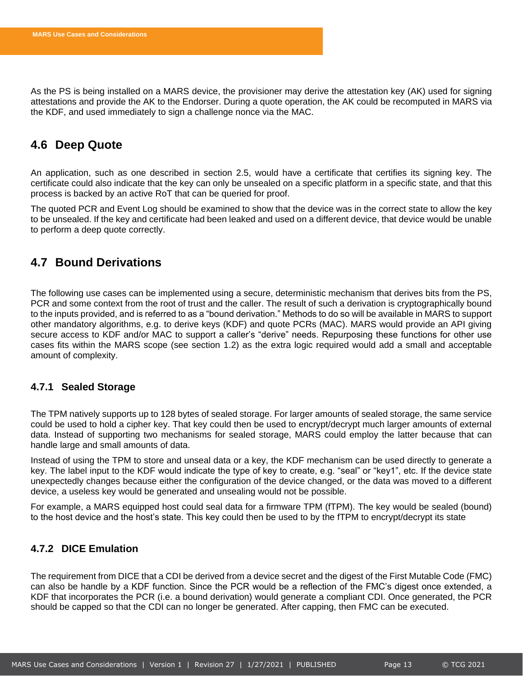As the PS is being installed on a MARS device, the provisioner may derive the attestation key (AK) used for signing attestations and provide the AK to the Endorser. During a quote operation, the AK could be recomputed in MARS via the KDF, and used immediately to sign a challenge nonce via the MAC.

### <span id="page-13-0"></span>**4.6 Deep Quote**

An application, such as one described in section [2.5,](#page-7-3) would have a certificate that certifies its signing key. The certificate could also indicate that the key can only be unsealed on a specific platform in a specific state, and that this process is backed by an active RoT that can be queried for proof.

The quoted PCR and Event Log should be examined to show that the device was in the correct state to allow the key to be unsealed. If the key and certificate had been leaked and used on a different device, that device would be unable to perform a deep quote correctly.

### <span id="page-13-1"></span>**4.7 Bound Derivations**

The following use cases can be implemented using a secure, deterministic mechanism that derives bits from the PS, PCR and some context from the root of trust and the caller. The result of such a derivation is cryptographically bound to the inputs provided, and is referred to as a "bound derivation." Methods to do so will be available in MARS to support other mandatory algorithms, e.g. to derive keys (KDF) and quote PCRs (MAC). MARS would provide an API giving secure access to KDF and/or MAC to support a caller's "derive" needs. Repurposing these functions for other use cases fits within the MARS scope (see section [1.2\)](#page-5-2) as the extra logic required would add a small and acceptable amount of complexity.

### <span id="page-13-2"></span>**4.7.1 Sealed Storage**

The TPM natively supports up to 128 bytes of sealed storage. For larger amounts of sealed storage, the same service could be used to hold a cipher key. That key could then be used to encrypt/decrypt much larger amounts of external data. Instead of supporting two mechanisms for sealed storage, MARS could employ the latter because that can handle large and small amounts of data.

Instead of using the TPM to store and unseal data or a key, the KDF mechanism can be used directly to generate a key. The label input to the KDF would indicate the type of key to create, e.g. "seal" or "key1", etc. If the device state unexpectedly changes because either the configuration of the device changed, or the data was moved to a different device, a useless key would be generated and unsealing would not be possible.

For example, a MARS equipped host could seal data for a firmware TPM (fTPM). The key would be sealed (bound) to the host device and the host's state. This key could then be used to by the fTPM to encrypt/decrypt its state

### <span id="page-13-3"></span>**4.7.2 DICE Emulation**

The requirement from DICE that a CDI be derived from a device secret and the digest of the First Mutable Code (FMC) can also be handle by a KDF function. Since the PCR would be a reflection of the FMC's digest once extended, a KDF that incorporates the PCR (i.e. a bound derivation) would generate a compliant CDI. Once generated, the PCR should be capped so that the CDI can no longer be generated. After capping, then FMC can be executed.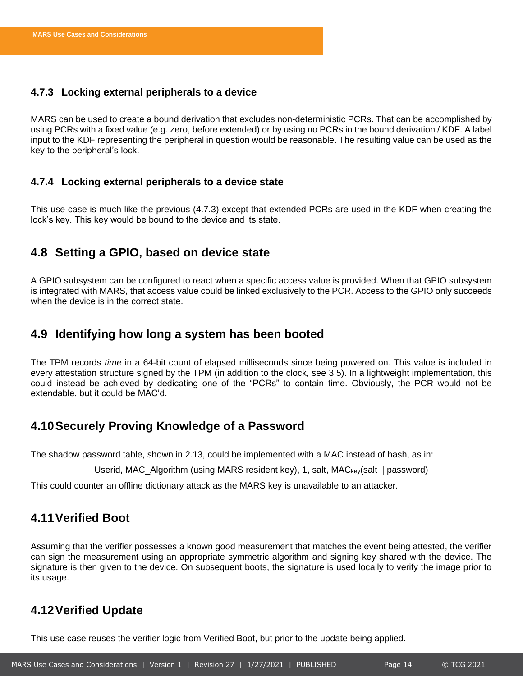### <span id="page-14-0"></span>**4.7.3 Locking external peripherals to a device**

MARS can be used to create a bound derivation that excludes non-deterministic PCRs. That can be accomplished by using PCRs with a fixed value (e.g. zero, before extended) or by using no PCRs in the bound derivation / KDF. A label input to the KDF representing the peripheral in question would be reasonable. The resulting value can be used as the key to the peripheral's lock.

### <span id="page-14-1"></span>**4.7.4 Locking external peripherals to a device state**

This use case is much like the previous [\(4.7.3\)](#page-14-0) except that extended PCRs are used in the KDF when creating the lock's key. This key would be bound to the device and its state.

### <span id="page-14-2"></span>**4.8 Setting a GPIO, based on device state**

A GPIO subsystem can be configured to react when a specific access value is provided. When that GPIO subsystem is integrated with MARS, that access value could be linked exclusively to the PCR. Access to the GPIO only succeeds when the device is in the correct state.

### <span id="page-14-3"></span>**4.9 Identifying how long a system has been booted**

The TPM records *time* in a 64-bit count of elapsed milliseconds since being powered on. This value is included in every attestation structure signed by the TPM (in addition to the clock, see [3.5\)](#page-10-5). In a lightweight implementation, this could instead be achieved by dedicating one of the "PCRs" to contain time. Obviously, the PCR would not be extendable, but it could be MAC'd.

### <span id="page-14-4"></span>**4.10Securely Proving Knowledge of a Password**

The shadow password table, shown in [2.13,](#page-9-0) could be implemented with a MAC instead of hash, as in:

Userid, MAC\_Algorithm (using MARS resident key), 1, salt, MACkey(salt || password)

This could counter an offline dictionary attack as the MARS key is unavailable to an attacker.

### <span id="page-14-5"></span>**4.11Verified Boot**

Assuming that the verifier possesses a known good measurement that matches the event being attested, the verifier can sign the measurement using an appropriate symmetric algorithm and signing key shared with the device. The signature is then given to the device. On subsequent boots, the signature is used locally to verify the image prior to its usage.

### <span id="page-14-6"></span>**4.12Verified Update**

This use case reuses the verifier logic from Verified Boot, but prior to the update being applied.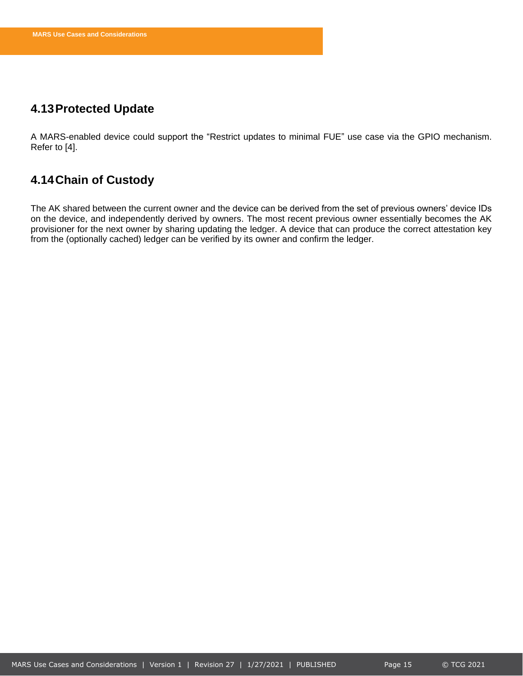### <span id="page-15-0"></span>**4.13Protected Update**

A MARS-enabled device could support the "Restrict updates to minimal FUE" use case via the GPIO mechanism. Refer to [4].

# <span id="page-15-1"></span>**4.14Chain of Custody**

The AK shared between the current owner and the device can be derived from the set of previous owners' device IDs on the device, and independently derived by owners. The most recent previous owner essentially becomes the AK provisioner for the next owner by sharing updating the ledger. A device that can produce the correct attestation key from the (optionally cached) ledger can be verified by its owner and confirm the ledger.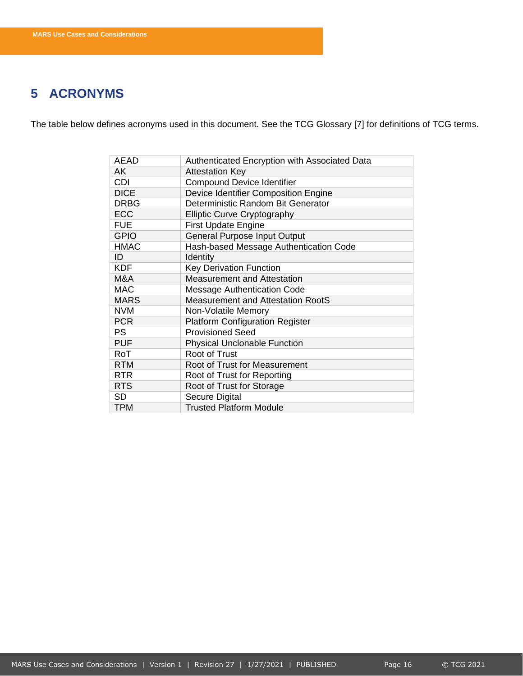# <span id="page-16-0"></span>**5 ACRONYMS**

The table below defines acronyms used in this document. See the TCG Glossary [7] for definitions of TCG terms.

| <b>AEAD</b> | Authenticated Encryption with Associated Data |
|-------------|-----------------------------------------------|
| AK          | <b>Attestation Key</b>                        |
| <b>CDI</b>  | <b>Compound Device Identifier</b>             |
| <b>DICE</b> | Device Identifier Composition Engine          |
| <b>DRBG</b> | Deterministic Random Bit Generator            |
| <b>ECC</b>  | <b>Elliptic Curve Cryptography</b>            |
| <b>FUE</b>  | <b>First Update Engine</b>                    |
| <b>GPIO</b> | <b>General Purpose Input Output</b>           |
| <b>HMAC</b> | Hash-based Message Authentication Code        |
| ID          | Identity                                      |
| <b>KDF</b>  | Key Derivation Function                       |
| M&A         | <b>Measurement and Attestation</b>            |
| <b>MAC</b>  | <b>Message Authentication Code</b>            |
| <b>MARS</b> | <b>Measurement and Attestation RootS</b>      |
| <b>NVM</b>  | Non-Volatile Memory                           |
| <b>PCR</b>  | <b>Platform Configuration Register</b>        |
| <b>PS</b>   | <b>Provisioned Seed</b>                       |
| <b>PUF</b>  | <b>Physical Unclonable Function</b>           |
| RoT         | Root of Trust                                 |
| <b>RTM</b>  | Root of Trust for Measurement                 |
| <b>RTR</b>  | Root of Trust for Reporting                   |
| <b>RTS</b>  | Root of Trust for Storage                     |
| <b>SD</b>   | Secure Digital                                |
| <b>TPM</b>  | <b>Trusted Platform Module</b>                |